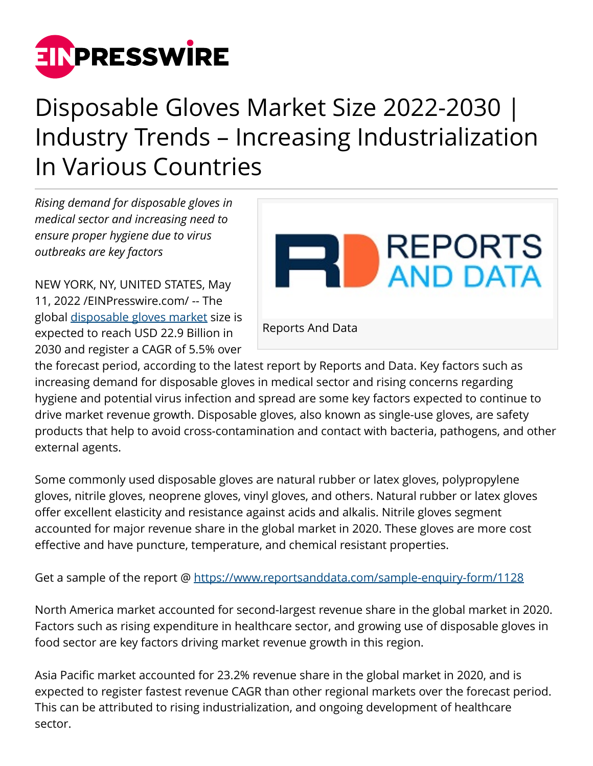

## Disposable Gloves Market Size 2022-2030 | Industry Trends – Increasing Industrialization In Various Countries

*Rising demand for disposable gloves in medical sector and increasing need to ensure proper hygiene due to virus outbreaks are key factors*

NEW YORK, NY, UNITED STATES, May 11, 2022 /[EINPresswire.com/](http://www.einpresswire.com) -- The global [disposable gloves market](https://www.reportsanddata.com/report-detail/disposable-gloves-market) size is expected to reach USD 22.9 Billion in 2030 and register a CAGR of 5.5% over



the forecast period, according to the latest report by Reports and Data. Key factors such as increasing demand for disposable gloves in medical sector and rising concerns regarding hygiene and potential virus infection and spread are some key factors expected to continue to drive market revenue growth. Disposable gloves, also known as single-use gloves, are safety products that help to avoid cross-contamination and contact with bacteria, pathogens, and other external agents.

Some commonly used disposable gloves are natural rubber or latex gloves, polypropylene gloves, nitrile gloves, neoprene gloves, vinyl gloves, and others. Natural rubber or latex gloves offer excellent elasticity and resistance against acids and alkalis. Nitrile gloves segment accounted for major revenue share in the global market in 2020. These gloves are more cost effective and have puncture, temperature, and chemical resistant properties.

Get a sample of the report @<https://www.reportsanddata.com/sample-enquiry-form/1128>

North America market accounted for second-largest revenue share in the global market in 2020. Factors such as rising expenditure in healthcare sector, and growing use of disposable gloves in food sector are key factors driving market revenue growth in this region.

Asia Pacific market accounted for 23.2% revenue share in the global market in 2020, and is expected to register fastest revenue CAGR than other regional markets over the forecast period. This can be attributed to rising industrialization, and ongoing development of healthcare sector.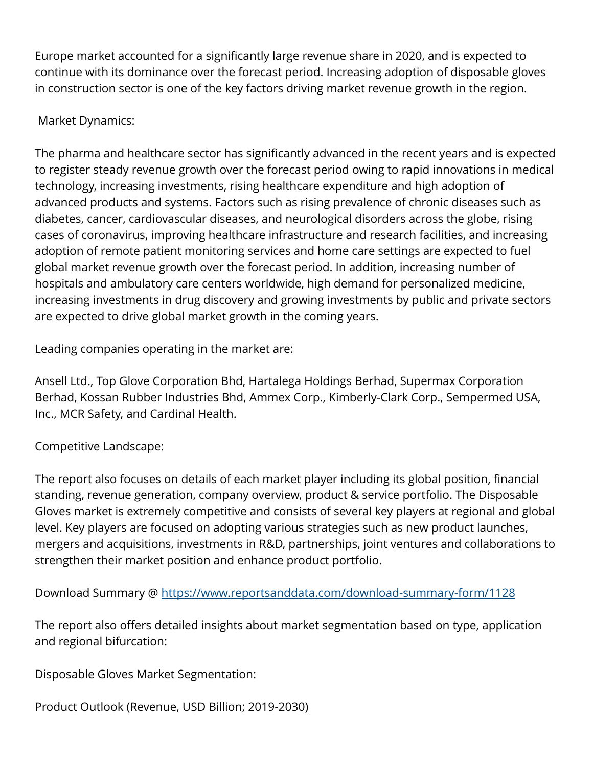Europe market accounted for a significantly large revenue share in 2020, and is expected to continue with its dominance over the forecast period. Increasing adoption of disposable gloves in construction sector is one of the key factors driving market revenue growth in the region.

## Market Dynamics:

The pharma and healthcare sector has significantly advanced in the recent years and is expected to register steady revenue growth over the forecast period owing to rapid innovations in medical technology, increasing investments, rising healthcare expenditure and high adoption of advanced products and systems. Factors such as rising prevalence of chronic diseases such as diabetes, cancer, cardiovascular diseases, and neurological disorders across the globe, rising cases of coronavirus, improving healthcare infrastructure and research facilities, and increasing adoption of remote patient monitoring services and home care settings are expected to fuel global market revenue growth over the forecast period. In addition, increasing number of hospitals and ambulatory care centers worldwide, high demand for personalized medicine, increasing investments in drug discovery and growing investments by public and private sectors are expected to drive global market growth in the coming years.

Leading companies operating in the market are:

Ansell Ltd., Top Glove Corporation Bhd, Hartalega Holdings Berhad, Supermax Corporation Berhad, Kossan Rubber Industries Bhd, Ammex Corp., Kimberly-Clark Corp., Sempermed USA, Inc., MCR Safety, and Cardinal Health.

## Competitive Landscape:

The report also focuses on details of each market player including its global position, financial standing, revenue generation, company overview, product & service portfolio. The Disposable Gloves market is extremely competitive and consists of several key players at regional and global level. Key players are focused on adopting various strategies such as new product launches, mergers and acquisitions, investments in R&D, partnerships, joint ventures and collaborations to strengthen their market position and enhance product portfolio.

Download Summary @ <https://www.reportsanddata.com/download-summary-form/1128>

The report also offers detailed insights about market segmentation based on type, application and regional bifurcation:

Disposable Gloves Market Segmentation:

Product Outlook (Revenue, USD Billion; 2019-2030)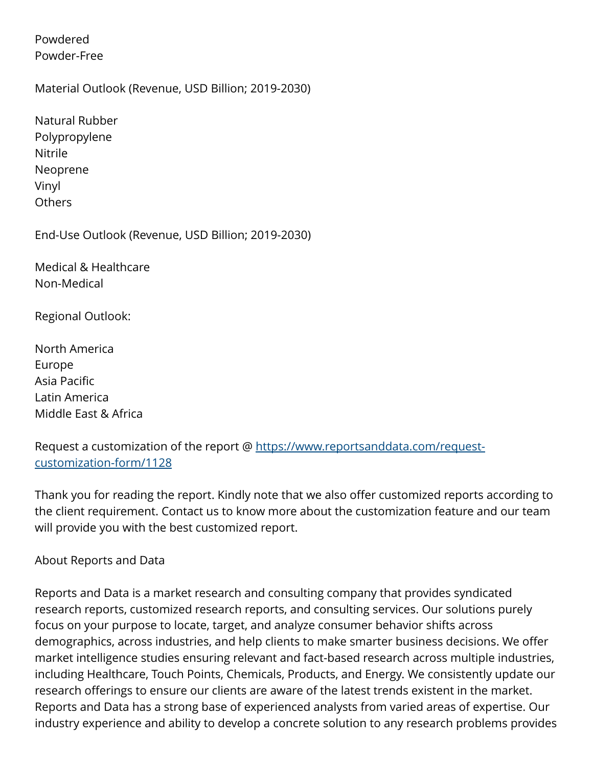Powdered Powder-Free

Material Outlook (Revenue, USD Billion; 2019-2030)

| Natural Rubber |
|----------------|
| Polypropylene  |
| Nitrile        |
| Neoprene       |
| Vinyl          |
| Others         |

End-Use Outlook (Revenue, USD Billion; 2019-2030)

Medical & Healthcare Non-Medical

Regional Outlook:

North America Europe Asia Pacific Latin America Middle East & Africa

Request a customization of the report @ [https://www.reportsanddata.com/request](https://www.reportsanddata.com/request-customization-form/1128)[customization-form/1128](https://www.reportsanddata.com/request-customization-form/1128)

Thank you for reading the report. Kindly note that we also offer customized reports according to the client requirement. Contact us to know more about the customization feature and our team will provide you with the best customized report.

About Reports and Data

Reports and Data is a market research and consulting company that provides syndicated research reports, customized research reports, and consulting services. Our solutions purely focus on your purpose to locate, target, and analyze consumer behavior shifts across demographics, across industries, and help clients to make smarter business decisions. We offer market intelligence studies ensuring relevant and fact-based research across multiple industries, including Healthcare, Touch Points, Chemicals, Products, and Energy. We consistently update our research offerings to ensure our clients are aware of the latest trends existent in the market. Reports and Data has a strong base of experienced analysts from varied areas of expertise. Our industry experience and ability to develop a concrete solution to any research problems provides